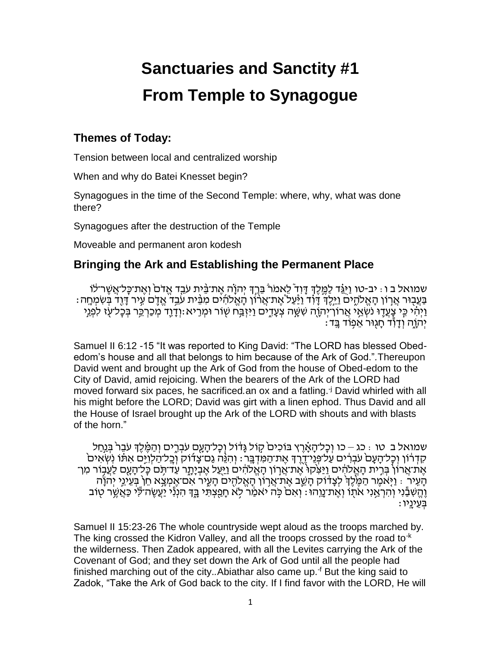# **Sanctuaries and Sanctity #1 From Temple to Synagogue**

## **Themes of Today:**

Tension between local and centralized worship

When and why do Batei Knesset begin?

Synagogues in the time of the Second Temple: where, why, what was done there?

Synagogues after the destruction of the Temple

Moveable and permanent aron kodesh

## **Bringing the Ark and Establishing the Permanent Place**

ּשְׁמוּאַל ב ו : יב-טו וַיּּגֵּ֫ד לַמֱלֵ֣דְ דָּוִד לֵאמֹרֹ בֵּרֵ֣דְ יְהוַ֫ה אֱת־בֵּית עֹבֵד אֱדֹם וְאֱת־כַּל־אֲשֶׁר־לֹו ּבַּעֲבְוּר אֲרְוֹן הָאֱלֹהֶים וַיֵּלֵ֣דְ דָּוֹֽד וַיַּּעֲלֹ אֶת־אֲרֹוֹן הָאֱלֹהִים מִבֵּ֫ית עֹבֵד אֲדָם עֵיר דַּוִד בִּשְׂמִחַה ַוְיָהִי כֵּי צָעֲדֶוּ נֹשְׁאֵי אֲרוֹךְיִהְוֶ֫ה שִׁשֶּׁה צִעָּדֵים וַיִּזְבַּ֣ח שְׂוֹר וּמְרָיא:וְדָרֶֽדָ מְכַרְבֶר בְּכָל־עָׂו לְמָנֵי ַ יְהַוֶּה וְדַוְד חַגְוּר אֵפְוֹד בֵֵּד:

Samuel II 6:12 -15 "It was reported to King David: "The LORD has blessed Obededom's house and all that belongs to him because of the Ark of God."*.*Thereupon David went and brought up the Ark of God from the house of Obed-edom to the City of David, amid rejoicing. When the bearers of the Ark of the LORD had moved forward six paces, he sacrificed*.*an ox and a fatling.-j David whirled with all his might before the LORD; David was girt with a linen ephod. Thus David and all the House of Israel brought up the Ark of the LORD with shouts and with blasts of the horn."

ּשְׁמוּאַל בִ טו : כג – כו וְכָל־הָאֲרֵץ בּוֹכְים קֶוֹל גְּדֹּוֹל וְכָל־הָעֲם עֹבְרֵים וְהַמֶּ֫לֶדְ עֹבֶר בְּנֵחַל ֹקְדְרוֹן וְכָל־הַעֲם עֹבְרִים עַל־פְּנֵי־דֶרֶךְ אֶת־הַמְּדָבֶר : וְהִגֶּה גַם־צַדוֹק וְכֵל־הַלְוֵיֵם אִתּּׁו נִשְאִים ְאֶת־אֲרוֹן בְּרֵית הַאֱלֹהִ֫ים וַיַּצְקוּ אֶת־אֲרוֹן הַאֱלֹהִ֫ים וַיַּעֲל אֶבְיָתֶר עַד־תֵּם כַּל־הַעֲם לַעֲבוֹר מִן־ ֿהַעֵּיר : וַיִּאמֶר הַמֶּׂלֵ֣ךְ לְצָדוֹק הַשֵׁב אֶת־אֲרוֹן הַאֱלֹהִים הַעֵּיר אִם־אֲמְצֵא חֵן בִּעֵינֵי יִהוֹ ַוְהֵשְׁבָּ֫נִי וְהִרָאֲנִי אֹתוֹ וְאֶת־נֵוֶהוּ: וְאִם כֹּה יֹאמַר לָא חַפְצְתִּי בֵּדְ הִנְנְי יַעֲשֶׂה־לִּי כַּאֲשֶׁר טְוֹב ַ בְּעֵינֵיו

Samuel II 15:23-26 The whole countryside wept aloud as the troops marched by. The king crossed the Kidron Valley, and all the troops crossed by the road to  $k$ the wilderness. Then Zadok appeared, with all the Levites carrying the Ark of the Covenant of God; and they set down the Ark of God until all the people had finished marching out of the city.*.*Abiathar also came up.-f But the king said to Zadok, "Take the Ark of God back to the city. If I find favor with the LORD, He will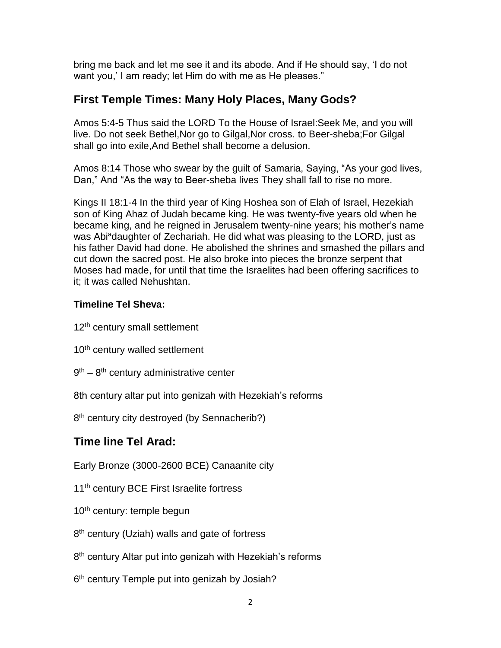bring me back and let me see it and its abode. And if He should say, 'I do not want you,' I am ready; let Him do with me as He pleases."

### **First Temple Times: Many Holy Places, Many Gods?**

Amos 5:4-5 Thus said the LORD To the House of Israel:Seek Me, and you will live. Do not seek Bethel,Nor go to Gilgal,Nor cross*.* to Beer-sheba;For Gilgal shall go into exile,And Bethel shall become a delusion.

Amos 8:14 Those who swear by the guilt of Samaria, Saying, "As your god lives, Dan," And "As the way to Beer-sheba lives They shall fall to rise no more.

Kings II 18:1-4 In the third year of King Hoshea son of Elah of Israel, Hezekiah son of King Ahaz of Judah became king. He was twenty-five years old when he became king, and he reigned in Jerusalem twenty-nine years; his mother's name was Abi<sup>a</sup>daughter of Zechariah. He did what was pleasing to the LORD, just as his father David had done. He abolished the shrines and smashed the pillars and cut down the sacred post. He also broke into pieces the bronze serpent that Moses had made, for until that time the Israelites had been offering sacrifices to it; it was called Nehushtan.

#### **Timeline Tel Sheva:**

- 12<sup>th</sup> century small settlement
- 10<sup>th</sup> century walled settlement
- 9<sup>th</sup> 8<sup>th</sup> century administrative center

8th century altar put into genizah with Hezekiah's reforms

8<sup>th</sup> century city destroyed (by Sennacherib?)

## **Time line Tel Arad:**

Early Bronze (3000-2600 BCE) Canaanite city

11<sup>th</sup> century BCE First Israelite fortress

- 10<sup>th</sup> century: temple begun
- 8<sup>th</sup> century (Uziah) walls and gate of fortress
- 8<sup>th</sup> century Altar put into genizah with Hezekiah's reforms
- 6<sup>th</sup> century Temple put into genizah by Josiah?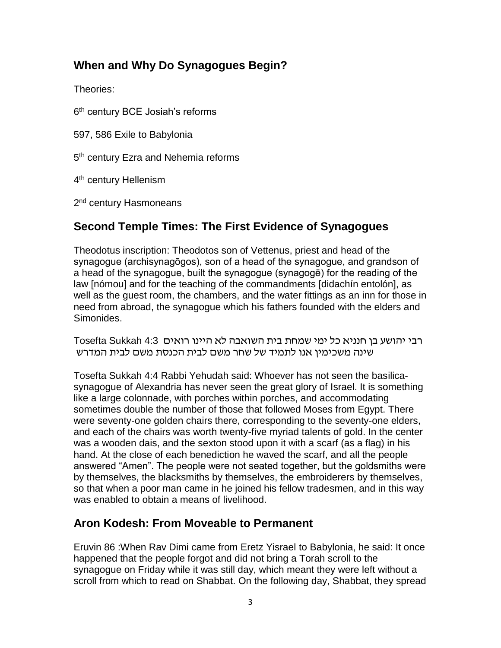## **When and Why Do Synagogues Begin?**

Theories:

6<sup>th</sup> century BCE Josiah's reforms

597, 586 Exile to Babylonia

5<sup>th</sup> century Ezra and Nehemia reforms

4<sup>th</sup> century Hellenism

2<sup>nd</sup> century Hasmoneans

# **Second Temple Times: The First Evidence of Synagogues**

Theodotus inscription: Theodotos son of Vettenus, priest and head of the synagogue (archisynagōgos), son of a head of the synagogue, and grandson of a head of the synagogue, built the synagogue (synagogē) for the reading of the law [nómou] and for the teaching of the commandments [didachín entolón], as well as the guest room, the chambers, and the water fittings as an inn for those in need from abroad, the synagogue which his fathers founded with the elders and Simonides.

רבי יֹהושע בן חנניא כל ימי שמחת בית ֹהשואבֹה לא ֹהיינו רואים 4:3 Sukkah Tosefta שינֹה משכימין אנו לתמיד של שחר משם לבית ֹהכנסת משם לבית ֹהמדרש

Tosefta Sukkah 4:4 Rabbi Yehudah said: Whoever has not seen the basilicasynagogue of Alexandria has never seen the great glory of Israel. It is something like a large colonnade, with porches within porches, and accommodating sometimes double the number of those that followed Moses from Egypt. There were seventy-one golden chairs there, corresponding to the seventy-one elders, and each of the chairs was worth twenty-five myriad talents of gold. In the center was a wooden dais, and the sexton stood upon it with a scarf (as a flag) in his hand. At the close of each benediction he waved the scarf, and all the people answered "Amen". The people were not seated together, but the goldsmiths were by themselves, the blacksmiths by themselves, the embroiderers by themselves, so that when a poor man came in he joined his fellow tradesmen, and in this way was enabled to obtain a means of livelihood.

# **Aron Kodesh: From Moveable to Permanent**

Eruvin 86 :When Rav Dimi came from Eretz Yisrael to Babylonia, he said: It once happened that the people forgot and did not bring a Torah scroll to the synagogue on Friday while it was still day, which meant they were left without a scroll from which to read on Shabbat. On the following day, Shabbat, they spread